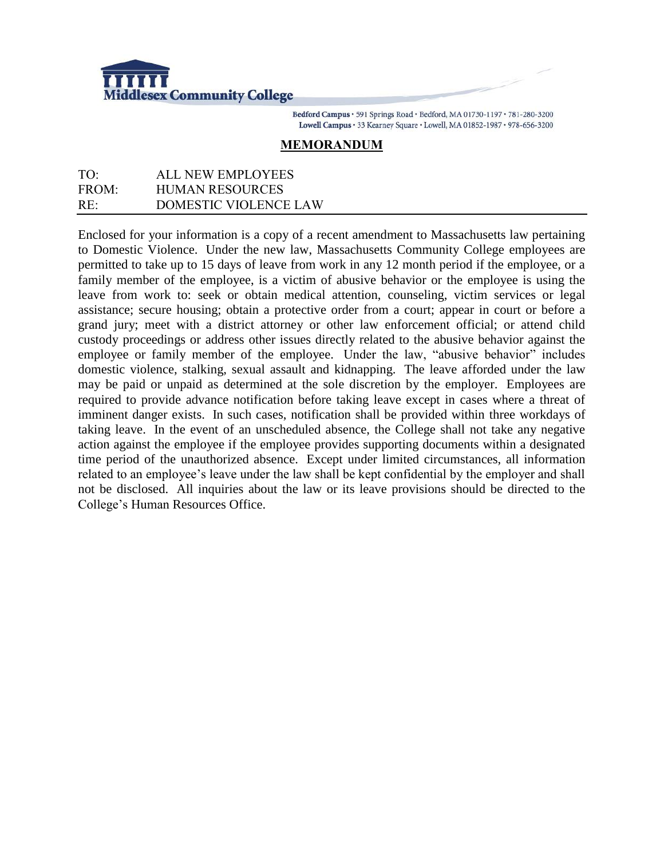

Bedford Campus · 591 Springs Road · Bedford, MA 01730-1197 · 781-280-3200 Lowell Campus · 33 Kearney Square · Lowell, MA 01852-1987 · 978-656-3200

## **MEMORANDUM**

## TO: ALL NEW EMPLOYEES FROM: HUMAN RESOURCES RE: DOMESTIC VIOLENCE LAW

Enclosed for your information is a copy of a recent amendment to Massachusetts law pertaining to Domestic Violence. Under the new law, Massachusetts Community College employees are permitted to take up to 15 days of leave from work in any 12 month period if the employee, or a family member of the employee, is a victim of abusive behavior or the employee is using the leave from work to: seek or obtain medical attention, counseling, victim services or legal assistance; secure housing; obtain a protective order from a court; appear in court or before a grand jury; meet with a district attorney or other law enforcement official; or attend child custody proceedings or address other issues directly related to the abusive behavior against the employee or family member of the employee. Under the law, "abusive behavior" includes domestic violence, stalking, sexual assault and kidnapping. The leave afforded under the law may be paid or unpaid as determined at the sole discretion by the employer. Employees are required to provide advance notification before taking leave except in cases where a threat of imminent danger exists. In such cases, notification shall be provided within three workdays of taking leave. In the event of an unscheduled absence, the College shall not take any negative action against the employee if the employee provides supporting documents within a designated time period of the unauthorized absence. Except under limited circumstances, all information related to an employee's leave under the law shall be kept confidential by the employer and shall not be disclosed. All inquiries about the law or its leave provisions should be directed to the College's Human Resources Office.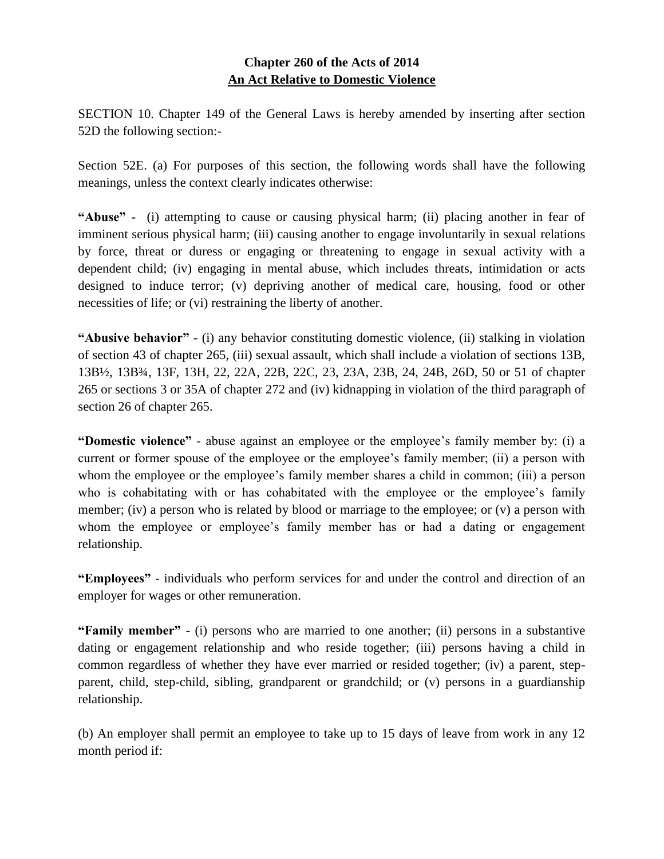## **Chapter 260 of the Acts of 2014 An Act Relative to Domestic Violence**

SECTION 10. Chapter 149 of the General Laws is hereby amended by inserting after section 52D the following section:-

Section 52E. (a) For purposes of this section, the following words shall have the following meanings, unless the context clearly indicates otherwise:

**"Abuse" -** (i) attempting to cause or causing physical harm; (ii) placing another in fear of imminent serious physical harm; (iii) causing another to engage involuntarily in sexual relations by force, threat or duress or engaging or threatening to engage in sexual activity with a dependent child; (iv) engaging in mental abuse, which includes threats, intimidation or acts designed to induce terror; (v) depriving another of medical care, housing, food or other necessities of life; or (vi) restraining the liberty of another.

**"Abusive behavior"** - (i) any behavior constituting domestic violence, (ii) stalking in violation of section 43 of chapter 265, (iii) sexual assault, which shall include a violation of sections 13B, 13B½, 13B¾, 13F, 13H, 22, 22A, 22B, 22C, 23, 23A, 23B, 24, 24B, 26D, 50 or 51 of chapter 265 or sections 3 or 35A of chapter 272 and (iv) kidnapping in violation of the third paragraph of section 26 of chapter 265.

**"Domestic violence"** - abuse against an employee or the employee's family member by: (i) a current or former spouse of the employee or the employee's family member; (ii) a person with whom the employee or the employee's family member shares a child in common; (iii) a person who is cohabitating with or has cohabitated with the employee or the employee's family member; (iv) a person who is related by blood or marriage to the employee; or (v) a person with whom the employee or employee's family member has or had a dating or engagement relationship.

**"Employees"** - individuals who perform services for and under the control and direction of an employer for wages or other remuneration.

**"Family member"** - (i) persons who are married to one another; (ii) persons in a substantive dating or engagement relationship and who reside together; (iii) persons having a child in common regardless of whether they have ever married or resided together; (iv) a parent, stepparent, child, step-child, sibling, grandparent or grandchild; or (v) persons in a guardianship relationship.

(b) An employer shall permit an employee to take up to 15 days of leave from work in any 12 month period if: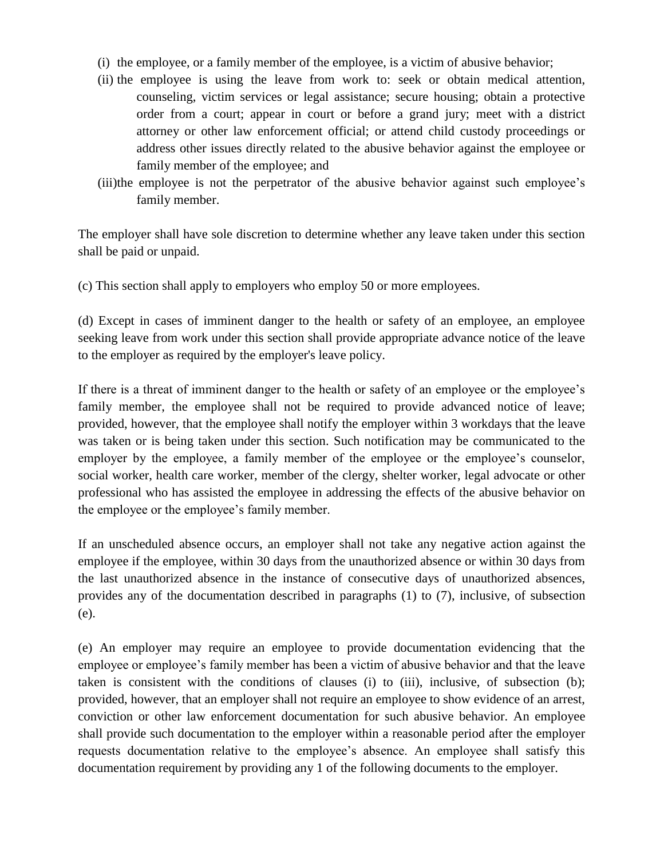- (i) the employee, or a family member of the employee, is a victim of abusive behavior;
- (ii) the employee is using the leave from work to: seek or obtain medical attention, counseling, victim services or legal assistance; secure housing; obtain a protective order from a court; appear in court or before a grand jury; meet with a district attorney or other law enforcement official; or attend child custody proceedings or address other issues directly related to the abusive behavior against the employee or family member of the employee; and
- (iii)the employee is not the perpetrator of the abusive behavior against such employee's family member.

The employer shall have sole discretion to determine whether any leave taken under this section shall be paid or unpaid.

(c) This section shall apply to employers who employ 50 or more employees.

(d) Except in cases of imminent danger to the health or safety of an employee, an employee seeking leave from work under this section shall provide appropriate advance notice of the leave to the employer as required by the employer's leave policy.

If there is a threat of imminent danger to the health or safety of an employee or the employee's family member, the employee shall not be required to provide advanced notice of leave; provided, however, that the employee shall notify the employer within 3 workdays that the leave was taken or is being taken under this section. Such notification may be communicated to the employer by the employee, a family member of the employee or the employee's counselor, social worker, health care worker, member of the clergy, shelter worker, legal advocate or other professional who has assisted the employee in addressing the effects of the abusive behavior on the employee or the employee's family member.

If an unscheduled absence occurs, an employer shall not take any negative action against the employee if the employee, within 30 days from the unauthorized absence or within 30 days from the last unauthorized absence in the instance of consecutive days of unauthorized absences, provides any of the documentation described in paragraphs (1) to (7), inclusive, of subsection (e).

(e) An employer may require an employee to provide documentation evidencing that the employee or employee's family member has been a victim of abusive behavior and that the leave taken is consistent with the conditions of clauses (i) to (iii), inclusive, of subsection (b); provided, however, that an employer shall not require an employee to show evidence of an arrest, conviction or other law enforcement documentation for such abusive behavior. An employee shall provide such documentation to the employer within a reasonable period after the employer requests documentation relative to the employee's absence. An employee shall satisfy this documentation requirement by providing any 1 of the following documents to the employer.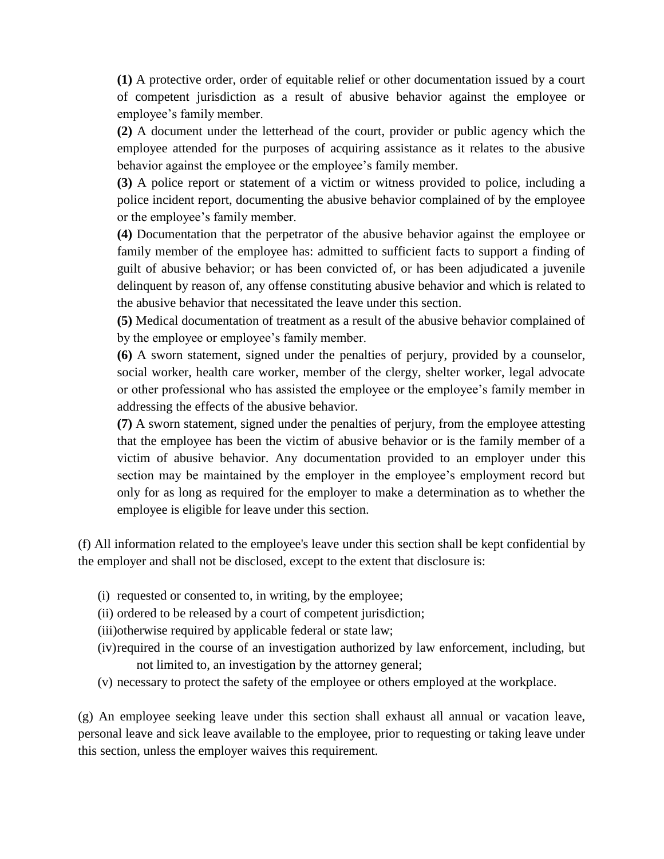**(1)** A protective order, order of equitable relief or other documentation issued by a court of competent jurisdiction as a result of abusive behavior against the employee or employee's family member.

**(2)** A document under the letterhead of the court, provider or public agency which the employee attended for the purposes of acquiring assistance as it relates to the abusive behavior against the employee or the employee's family member.

**(3)** A police report or statement of a victim or witness provided to police, including a police incident report, documenting the abusive behavior complained of by the employee or the employee's family member.

**(4)** Documentation that the perpetrator of the abusive behavior against the employee or family member of the employee has: admitted to sufficient facts to support a finding of guilt of abusive behavior; or has been convicted of, or has been adjudicated a juvenile delinquent by reason of, any offense constituting abusive behavior and which is related to the abusive behavior that necessitated the leave under this section.

**(5)** Medical documentation of treatment as a result of the abusive behavior complained of by the employee or employee's family member.

**(6)** A sworn statement, signed under the penalties of perjury, provided by a counselor, social worker, health care worker, member of the clergy, shelter worker, legal advocate or other professional who has assisted the employee or the employee's family member in addressing the effects of the abusive behavior.

**(7)** A sworn statement, signed under the penalties of perjury, from the employee attesting that the employee has been the victim of abusive behavior or is the family member of a victim of abusive behavior. Any documentation provided to an employer under this section may be maintained by the employer in the employee's employment record but only for as long as required for the employer to make a determination as to whether the employee is eligible for leave under this section.

(f) All information related to the employee's leave under this section shall be kept confidential by the employer and shall not be disclosed, except to the extent that disclosure is:

- (i) requested or consented to, in writing, by the employee;
- (ii) ordered to be released by a court of competent jurisdiction;
- (iii)otherwise required by applicable federal or state law;
- (iv)required in the course of an investigation authorized by law enforcement, including, but not limited to, an investigation by the attorney general;
- (v) necessary to protect the safety of the employee or others employed at the workplace.

(g) An employee seeking leave under this section shall exhaust all annual or vacation leave, personal leave and sick leave available to the employee, prior to requesting or taking leave under this section, unless the employer waives this requirement.